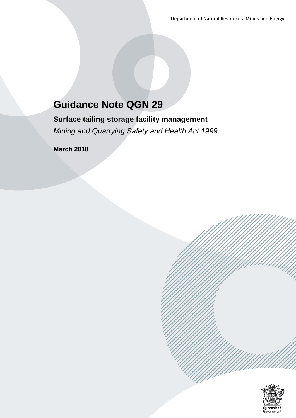# **Guidance Note QGN 29**

**Surface tailing storage facility management** *Mining and Quarrying Safety and Health Act 1999*

**March 2018**

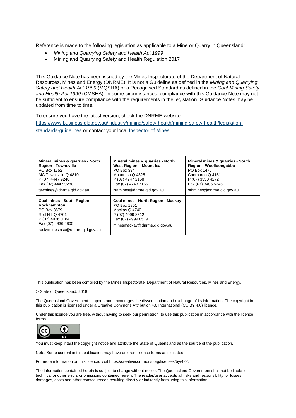Reference is made to the following legislation as applicable to a Mine or Quarry in Queensland:

- *Mining and Quarrying Safety and Health Act 1999*
- Mining and Quarrying Safety and Health Regulation 2017

This Guidance Note has been issued by the Mines Inspectorate of the Department of Natural Resources, Mines and Energy (DNRME). It is not a Guideline as defined in the *Mining and Quarrying Safety and Health Act 1999* (MQSHA) or a Recognised Standard as defined in the *Coal Mining Safety and Health Act 1999* (CMSHA). In some circumstances, compliance with this Guidance Note may not be sufficient to ensure compliance with the requirements in the legislation. Guidance Notes may be updated from time to time.

To ensure you have the latest version, check the DNRME website: [https://www.business.qld.gov.au/industry/mining/safety-health/mining-safety-health/legislation](https://www.business.qld.gov.au/industry/mining/safety-health/mining-safety-health/legislation-standards-guidelines)[standards-guidelines](https://www.business.qld.gov.au/industry/mining/safety-health/mining-safety-health/legislation-standards-guidelines) or contact your local [Inspector of Mines.](https://www.dnrm.qld.gov.au/our-department/contact-us/mines-inspectorate-contacts)

| Mineral mines & quarries - North                                                                                                                                 | Mineral mines & quarries - North                                                                                                             | Mineral mines & quarries - South |
|------------------------------------------------------------------------------------------------------------------------------------------------------------------|----------------------------------------------------------------------------------------------------------------------------------------------|----------------------------------|
| <b>Region - Townsville</b>                                                                                                                                       | West Region - Mount Isa                                                                                                                      | Region - Woolloongabba           |
| PO Box 1752                                                                                                                                                      | PO Box 334                                                                                                                                   | PO Box 1475                      |
| MC Townsville Q 4810                                                                                                                                             | Mount Isa Q 4825                                                                                                                             | Coorparoo Q 4151                 |
| P (07) 4447 9248                                                                                                                                                 | P (07) 4747 2158                                                                                                                             | P (07) 3330 4272                 |
| Fax (07) 4447 9280                                                                                                                                               | Fax (07) 4743 7165                                                                                                                           | Fax (07) 3405 5345               |
| tsymines@dnrme.gld.gov.au                                                                                                                                        | isamines@dnrme.gld.gov.au                                                                                                                    | sthmines@dnrme.gld.gov.au        |
| Coal mines - South Region -<br>Rockhampton<br>PO Box 3679<br><b>Red Hill Q 4701</b><br>P (07) 4936 0184<br>Fax (07) 4936 4805<br>rockyminesinsp@dnrme.gld.gov.au | Coal mines - North Region - Mackay<br>PO Box 1801<br>Mackay Q 4740<br>P (07) 4999 8512<br>Fax (07) 4999 8519<br>minesmackay@dnrme.gld.gov.au |                                  |

This publication has been compiled by the Mines Inspectorate, Department of Natural Resources, Mines and Energy.

© State of Queensland, 2018

The Queensland Government supports and encourages the dissemination and exchange of its information. The copyright in this publication is licensed under a Creative Commons Attribution 4.0 International (CC BY 4.0) licence.

Under this licence you are free, without having to seek our permission, to use this publication in accordance with the licence terms.



You must keep intact the copyright notice and attribute the State of Queensland as the source of the publication.

Note: Some content in this publication may have different licence terms as indicated.

For more information on this licence, visit https://creativecommons.org/licenses/by/4.0/.

The information contained herein is subject to change without notice. The Queensland Government shall not be liable for technical or other errors or omissions contained herein. The reader/user accepts all risks and responsibility for losses, damages, costs and other consequences resulting directly or indirectly from using this information.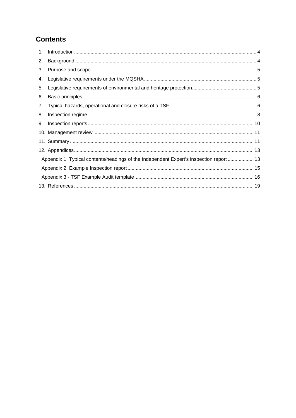# **Contents**

| 2. |                                                                                         |
|----|-----------------------------------------------------------------------------------------|
| 3. |                                                                                         |
| 4. |                                                                                         |
| 5. |                                                                                         |
| 6. |                                                                                         |
| 7. |                                                                                         |
| 8. |                                                                                         |
| 9. |                                                                                         |
|    |                                                                                         |
|    |                                                                                         |
|    |                                                                                         |
|    | Appendix 1: Typical contents/headings of the Independent Expert's inspection report  13 |
|    |                                                                                         |
|    |                                                                                         |
|    |                                                                                         |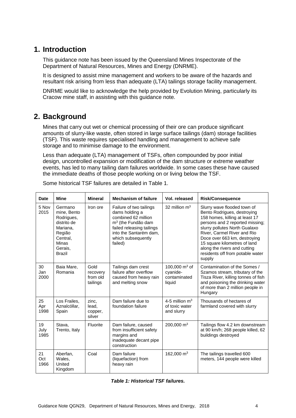# <span id="page-3-0"></span>**1. Introduction**

This guidance note has been issued by the Queensland Mines Inspectorate of the Department of Natural Resources, Mines and Energy (DNRME).

It is designed to assist mine management and workers to be aware of the hazards and resultant risk arising from less than adequate (LTA) tailings storage facility management.

DNRME would like to acknowledge the help provided by Evolution Mining, particularly its Cracow mine staff, in assisting with this guidance note.

# <span id="page-3-1"></span>**2. Background**

Mines that carry out wet or chemical processing of their ore can produce significant amounts of slurry-like waste, often stored in large surface tailings (dam) storage facilities (TSF). This waste requires specialised handling and management to achieve safe storage and to minimise damage to the environment.

Less than adequate (LTA) management of TSFs, often compounded by poor initial design, uncontrolled expansion or modification of the dam structure or extreme weather events, has led to many tailing dam failures worldwide. In some cases these have caused the immediate deaths of those people working on or living below the TSF.

| <b>Date</b>        | <b>Mine</b>                                                                                                                | <b>Mineral</b>                           | <b>Mechanism of failure</b>                                                                                                                                                                | Vol. released                                         | <b>Risk/Consequence</b>                                                                                                                                                                                                                                                                                                                       |
|--------------------|----------------------------------------------------------------------------------------------------------------------------|------------------------------------------|--------------------------------------------------------------------------------------------------------------------------------------------------------------------------------------------|-------------------------------------------------------|-----------------------------------------------------------------------------------------------------------------------------------------------------------------------------------------------------------------------------------------------------------------------------------------------------------------------------------------------|
| 5 Nov<br>2015      | Germano<br>mine, Bento<br>Rodrigues,<br>distrito de<br>Mariana,<br>Região<br>Central,<br>Minas<br>Gerais,<br><b>Brazil</b> | Iron ore                                 | Failure of two tailings<br>dams holding a<br>combined 62 million<br>m <sup>3</sup> (the Fundão dam<br>failed releasing tailings<br>into the Santarém dam,<br>which subsequently<br>failed) | 32 million $m3$                                       | Slurry wave flooded town of<br>Bento Rodrigues, destroying<br>158 homes, killing at least 17<br>persons and 2 reported missing;<br>slurry pollutes North Gualaxo<br>River, Carmel River and Rio<br>Doce over 663 km, destroying<br>15 square kilometres of land<br>along the rivers and cutting<br>residents off from potable water<br>supply |
| 30<br>Jan<br>2000  | Baia Mare,<br>Romania                                                                                                      | Gold<br>recovery<br>from old<br>tailings | Tailings dam crest<br>failure after overflow<br>caused from heavy rain<br>and melting snow                                                                                                 | 100,000 $m3$ of<br>cyanide-<br>contaminated<br>liquid | Contamination of the Somes /<br>Szamos stream, tributary of the<br>Tisza River, killing tonnes of fish<br>and poisoning the drinking water<br>of more than 2 million people in<br>Hungary                                                                                                                                                     |
| 25<br>Apr<br>1998  | Los Frailes,<br>Aznalcóllar,<br>Spain                                                                                      | zinc,<br>lead,<br>copper,<br>silver      | Dam failure due to<br>foundation failure                                                                                                                                                   | 4-5 million $m3$<br>of toxic water<br>and slurry      | Thousands of hectares of<br>farmland covered with slurry                                                                                                                                                                                                                                                                                      |
| 19<br>July<br>1985 | Stava,<br>Trento, Italy                                                                                                    | Fluorite                                 | Dam failure, caused<br>from insufficient safety<br>margins and<br>inadequate decant pipe<br>construction                                                                                   | 200,000 $\,$ m <sup>3</sup>                           | Tailings flow 4.2 km downstream<br>at 90 km/h; 268 people killed, 62<br>buildings destroyed                                                                                                                                                                                                                                                   |
| 21<br>Oct<br>1966  | Aberfan,<br>Wales,<br>United<br>Kingdom                                                                                    | Coal                                     | Dam failure<br>(liquefaction) from<br>heavy rain                                                                                                                                           | 162,000 $\,$ m <sup>3</sup>                           | The tailings travelled 600<br>meters, 144 people were killed                                                                                                                                                                                                                                                                                  |

Some historical TSF failures are detailed in Table 1.

*Table 1: Historical TSF failures.*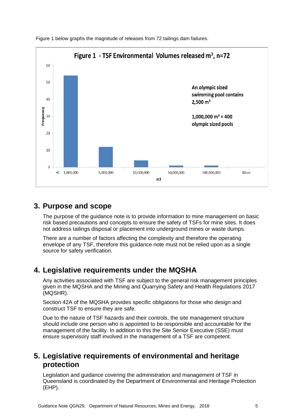

Figure 1 below graphs the magnitude of releases from 72 tailings dam failures.

## <span id="page-4-0"></span>**3. Purpose and scope**

The purpose of the guidance note is to provide information to mine management on basic risk based precautions and concepts to ensure the safety of TSFs for mine sites. It does not address tailings disposal or placement into underground mines or waste dumps.

There are a number of factors affecting the complexity and therefore the operating envelope of any TSF, therefore this guidance note must not be relied upon as a single source for safety verification.

## <span id="page-4-1"></span>**4. Legislative requirements under the MQSHA**

Any activities associated with TSF are subject to the general risk management principles given in the MQSHA and the Mining and Quarrying Safety and Health Regulations 2017 (MQSHR).

Section 42A of the MQSHA provides specific obligations for those who design and construct TSF to ensure they are safe.

Due to the nature of TSF hazards and their controls, the site management structure should include one person who is appointed to be responsible and accountable for the management of the facility. In addition to this the Site Senior Executive (SSE) must ensure supervisory staff involved in the management of a TSF are competent.

## <span id="page-4-2"></span>**5. Legislative requirements of environmental and heritage protection**

Legislation and guidance covering the administration and management of TSF in Queensland is coordinated by the Department of Environmental and Heritage Protection (EHP).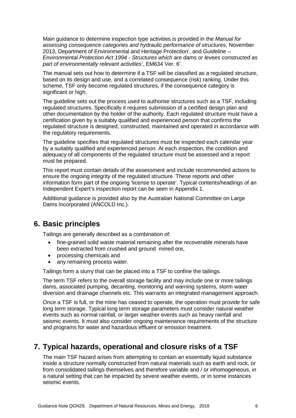Main guidance to determine inspection type activities is provided in the *Manual for assessing consequence categories and hydraulic performance of structures*, November 2013, Department of Environmental and Heritage Protection', and *Guideline – Environmental Protection Act 1994 - Structures which are dams or levees constructed as part of environmentally relevant activities'*, EM634 Ver. 6'.

The manual sets out how to determine if a TSF will be classified as a regulated structure, based on its design and use, and a correlated consequence (risk) ranking. Under this scheme, TSF only become regulated structures, if the consequence category is significant or high.

The guideline sets out the process used to authorise structures such as a TSF, including regulated structures. Specifically it requires submission of a certified design plan and other documentation by the holder of the authority. Each regulated structure must have a certification given by a suitably qualified and experienced person that confirms the regulated structure is designed, constructed, maintained and operated in accordance with the regulatory requirements.

The guideline specifies that regulated structures must be inspected each calendar year by a suitably qualified and experienced person. At each inspection, the condition and adequacy of all components of the regulated structure must be assessed and a report must be prepared.

This report must contain details of the assessment and include recommended actions to ensure the ongoing integrity of the regulated structure. These reports and other information form part of the ongoing 'license to operate'. Typical contents/headings of an Independent Expert's inspection report can be seen in Appendix 1.

Additional guidance is provided also by the Australian National Committee on Large Dams Incorporated (ANCOLD Inc.).

#### <span id="page-5-0"></span>**6. Basic principles**

Tailings are generally described as a combination of:

- fine-grained solid waste material remaining after the recoverable minerals have been extracted from crushed and ground mined ore,
- processing chemicals and
- any remaining process water.

Tailings form a slurry that can be placed into a TSF to confine the tailings.

The term TSF refers to the overall storage facility and may include one or more tailings dams, associated pumping, decanting, monitoring and warning systems, storm water diversion and drainage channels etc. This warrants an integrated management approach.

Once a TSF is full, or the mine has ceased to operate, the operation must provide for safe long term storage. Typical long term storage parameters must consider natural weather events such as normal rainfall, or larger weather events such as heavy rainfall and seismic events. It must also consider ongoing maintenance requirements of the structure and programs for water and hazardous effluent or emission treatment.

## <span id="page-5-1"></span>**7. Typical hazards, operational and closure risks of a TSF**

The main TSF hazard arises from attempting to contain an essentially liquid substance inside a structure normally constructed from natural materials such as earth and rock, or from consolidated tailings themselves and therefore variable and / or inhomogeneous, in a natural setting that can be impacted by severe weather events, or in some instances seismic events.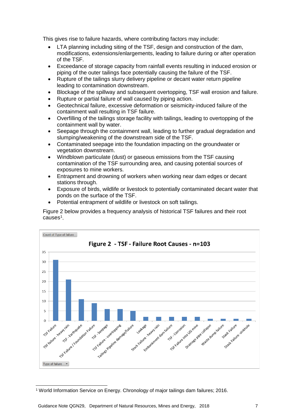This gives rise to failure hazards, where contributing factors may include:

- LTA planning including siting of the TSF, design and construction of the dam, modifications, extensions/enlargements, leading to failure during or after operation of the TSF.
- Exceedance of storage capacity from rainfall events resulting in induced erosion or piping of the outer tailings face potentially causing the failure of the TSF.
- Rupture of the tailings slurry delivery pipeline or decant water return pipeline leading to contamination downstream.
- Blockage of the spillway and subsequent overtopping, TSF wall erosion and failure.
- Rupture or partial failure of wall caused by piping action.
- Geotechnical failure, excessive deformation or seismicity-induced failure of the containment wall resulting in TSF failure.
- Overfilling of the tailings storage facility with tailings, leading to overtopping of the containment wall by water.
- Seepage through the containment wall, leading to further gradual degradation and slumping/weakening of the downstream side of the TSF.
- Contaminated seepage into the foundation impacting on the groundwater or vegetation downstream.
- Windblown particulate (dust) or gaseous emissions from the TSF causing contamination of the TSF surrounding area, and causing potential sources of exposures to mine workers.
- Entrapment and drowning of workers when working near dam edges or decant stations through.
- Exposure of birds, wildlife or livestock to potentially contaminated decant water that ponds on the surface of the TSF.
- Potential entrapment of wildlife or livestock on soft tailings.

Figure 2 below provides a frequency analysis of historical TSF failures and their root  $causes<sup>1</sup>$  $causes<sup>1</sup>$  $causes<sup>1</sup>$ .



<span id="page-6-0"></span> <sup>1</sup> World Information Service on Energy. Chronology of major tailings dam failures; 2016.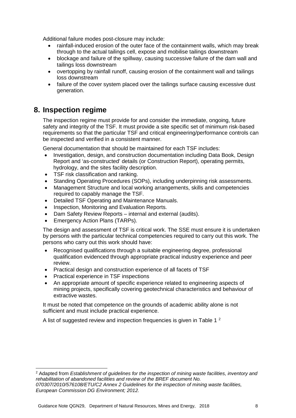Additional failure modes post-closure may include:

- rainfall-induced erosion of the outer face of the containment walls, which may break through to the actual tailings cell, expose and mobilise tailings downstream
- blockage and failure of the spillway, causing successive failure of the dam wall and tailings loss downstream
- overtopping by rainfall runoff, causing erosion of the containment wall and tailings loss downstream
- failure of the cover system placed over the tailings surface causing excessive dust generation.

#### <span id="page-7-0"></span>**8. Inspection regime**

The inspection regime must provide for and consider the immediate, ongoing, future safety and integrity of the TSF. It must provide a site specific set of minimum risk-based requirements so that the particular TSF and critical engineering/performance controls can be inspected and verified in a consistent manner.

General documentation that should be maintained for each TSF includes:

- Investigation, design, and construction documentation including Data Book, Design Report and 'as-constructed' details (or Construction Report), operating permits, hydrology, and the sites facility description.
- TSF risk classification and ranking.
- Standing Operating Procedures (SOPs), including underpinning risk assessments.
- Management Structure and local working arrangements, skills and competencies required to capably manage the TSF.
- Detailed TSF Operating and Maintenance Manuals.
- Inspection, Monitoring and Evaluation Reports.
- Dam Safety Review Reports internal and external (audits).
- Emergency Action Plans (TARPs).

The design and assessment of TSF is critical work. The SSE must ensure it is undertaken by persons with the particular technical competencies required to carry out this work. The persons who carry out this work should have:

- Recognised qualifications through a suitable engineering degree, professional qualification evidenced through appropriate practical industry experience and peer review.
- Practical design and construction experience of all facets of TSF
- Practical experience in TSF inspections
- An appropriate amount of specific experience related to engineering aspects of mining projects, specifically covering geotechnical characteristics and behaviour of extractive wastes.

It must be noted that competence on the grounds of academic ability alone is not sufficient and must include practical experience.

A list of suggested review and inspection frequencies is given in [Table 1](#page-8-0)<sup>[2](#page-7-1)</sup>

<span id="page-7-1"></span> <sup>2</sup> Adapted from *Establishment of guidelines for the inspection of mining waste facilities, inventory and rehabilitation of abandoned facilities and review of the BREF document No. 070307/2010/576108/ETU/C2 Annex 2 Guidelines for the inspection of mining waste facilities,* 

*European Commission DG Environment; 2012.*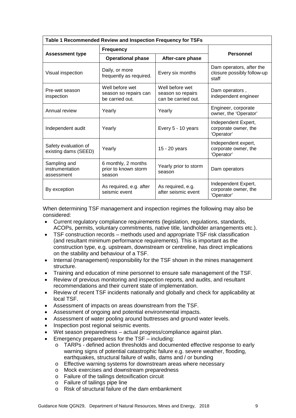<span id="page-8-0"></span>

| Table 1 Recommended Review and Inspection Frequency for TSFs |                                                                                                                            |                                          |                                                                 |  |  |  |
|--------------------------------------------------------------|----------------------------------------------------------------------------------------------------------------------------|------------------------------------------|-----------------------------------------------------------------|--|--|--|
|                                                              | <b>Frequency</b>                                                                                                           |                                          |                                                                 |  |  |  |
| <b>Assessment type</b>                                       | <b>Operational phase</b>                                                                                                   | After-care phase                         | <b>Personnel</b>                                                |  |  |  |
| Visual inspection                                            | Daily, or more<br>frequently as required.                                                                                  | Every six months                         | Dam operators, after the<br>closure possibly follow-up<br>staff |  |  |  |
| Pre-wet season<br>inspection                                 | Well before wet<br>Well before wet<br>season so repairs can<br>season so repairs<br>can be carried out.<br>be carried out. |                                          | Dam operators,<br>independent engineer                          |  |  |  |
| Annual review                                                | Yearly                                                                                                                     | Yearly                                   | Engineer, corporate<br>owner, the 'Operator'                    |  |  |  |
| Independent audit                                            | Yearly                                                                                                                     | Every 5 - 10 years                       | Independent Expert,<br>corporate owner, the<br>'Operator'       |  |  |  |
| Safety evaluation of<br>existing dams (SEED)                 | Yearly                                                                                                                     | 15 - 20 years                            | Independent expert,<br>corporate owner, the<br>'Operator'       |  |  |  |
| Sampling and<br>instrumentation<br>assessment                | 6 monthly, 2 months<br>prior to known storm<br>season                                                                      | Yearly prior to storm<br>season          | Dam operators                                                   |  |  |  |
| By exception                                                 | As required, e.g. after<br>seismic event                                                                                   | As required, e.g.<br>after seismic event | Independent Expert,<br>corporate owner, the<br>'Operator'       |  |  |  |

When determining TSF management and inspection regimes the following may also be considered:

- Current regulatory compliance requirements (legislation, regulations, standards, ACOPs, permits, voluntary commitments, native title, landholder arrangements etc.).
- TSF construction records methods used and appropriate TSF risk classification (and resultant minimum performance requirements). This is important as the construction type, e.g. upstream, downstream or centreline, has direct implications on the stability and behaviour of a TSF.
- Internal (management) responsibility for the TSF shown in the mines management structure.
- Training and education of mine personnel to ensure safe management of the TSF.
- Review of previous monitoring and inspection reports, and audits, and resultant recommendations and their current state of implementation.
- Review of recent TSF incidents nationally and globally and check for applicability at local TSF.
- Assessment of impacts on areas downstream from the TSF.
- Assessment of ongoing and potential environmental impacts.
- Assessment of water pooling around buttresses and ground water levels.
- Inspection post regional seismic events.
- Wet season preparedness actual progress/compliance against plan.
- Emergency preparedness for the TSF including:
	- o TARPs defined action thresholds and documented effective response to early warning signs of potential catastrophic failure e.g. severe weather, flooding, earthquakes, structural failure of walls, dams and / or bunding
	- o Effective warning systems for downstream areas where necessary
	- o Mock exercises and downstream preparedness
	- o Failure of the tailings detoxification circuit
	- o Failure of tailings pipe line
	- o Risk of structural failure of the dam embankment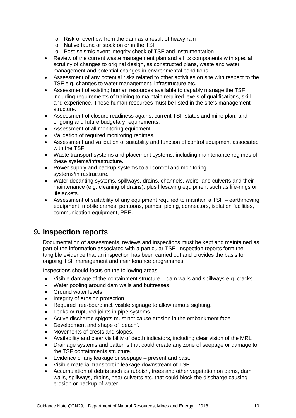- o Risk of overflow from the dam as a result of heavy rain
- o Native fauna or stock on or in the TSF.
- o Post-seismic event integrity check of TSF and instrumentation
- Review of the current waste management plan and all its components with special scrutiny of changes to original design, as constructed plans, waste and water management and potential changes in environmental conditions.
- Assessment of any potential risks related to other activities on site with respect to the TSF e.g. changes to water management, infrastructure etc.
- Assessment of existing human resources available to capably manage the TSF including requirements of training to maintain required levels of qualifications, skill and experience. These human resources must be listed in the site's management structure.
- Assessment of closure readiness against current TSF status and mine plan, and ongoing and future budgetary requirements.
- Assessment of all monitoring equipment.
- Validation of required monitoring regimes.
- Assessment and validation of suitability and function of control equipment associated with the TSF.
- Waste transport systems and placement systems, including maintenance regimes of these systems/infrastructure.
- Power supply and backup systems to all control and monitoring systems/infrastructure.
- Water decanting systems, spillways, drains, channels, weirs, and culverts and their maintenance (e.g. cleaning of drains), plus lifesaving equipment such as life-rings or lifejackets.
- Assessment of suitability of any equipment required to maintain a TSF earthmoving equipment, mobile cranes, pontoons, pumps, piping, connectors, isolation facilities, communication equipment, PPE.

#### <span id="page-9-0"></span>**9. Inspection reports**

Documentation of assessments, reviews and inspections must be kept and maintained as part of the information associated with a particular TSF. Inspection reports form the tangible evidence that an inspection has been carried out and provides the basis for ongoing TSF management and maintenance programmes.

Inspections should focus on the following areas:

- Visible damage of the containment structure dam walls and spillways e.g. cracks
- Water pooling around dam walls and buttresses
- Ground water levels
- Integrity of erosion protection
- Required free-board incl. visible signage to allow remote sighting.
- Leaks or ruptured joints in pipe systems
- Active discharge spigots must not cause erosion in the embankment face
- Development and shape of 'beach'.
- Movements of crests and slopes.
- Availability and clear visibility of depth indicators, including clear vision of the MRL
- Drainage systems and patterns that could create any zone of seepage or damage to the TSF containments structure.
- Evidence of any leakage or seepage present and past.
- Visible material transport in leakage downstream of TSF.
- Accumulation of debris such as rubbish, trees and other vegetation on dams, dam walls, spillways, drains, near culverts etc. that could block the discharge causing erosion or backup of water.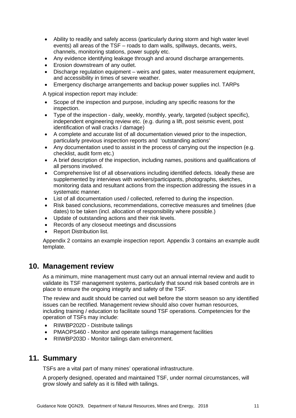- Ability to readily and safely access (particularly during storm and high water level events) all areas of the TSF – roads to dam walls, spillways, decants, weirs, channels, monitoring stations, power supply etc.
- Any evidence identifying leakage through and around discharge arrangements.
- Erosion downstream of any outlet.
- Discharge regulation equipment weirs and gates, water measurement equipment, and accessibility in times of severe weather.
- Emergency discharge arrangements and backup power supplies incl. TARPs

A typical inspection report may include:

- Scope of the inspection and purpose, including any specific reasons for the inspection.
- Type of the inspection daily, weekly, monthly, yearly, targeted (subject specific), independent engineering review etc. (e.g. during a lift, post seismic event, post identification of wall cracks / damage)
- A complete and accurate list of all documentation viewed prior to the inspection, particularly previous inspection reports and 'outstanding actions'
- Any documentation used to assist in the process of carrying out the inspection (e.g. checklist, audit form etc.)
- A brief description of the inspection, including names, positions and qualifications of all persons involved.
- Comprehensive list of all observations including identified defects. Ideally these are supplemented by interviews with workers/participants, photographs, sketches, monitoring data and resultant actions from the inspection addressing the issues in a systematic manner.
- List of all documentation used / collected, referred to during the inspection.
- Risk based conclusions, recommendations, corrective measures and timelines (due dates) to be taken (incl. allocation of responsibility where possible.)
- Update of outstanding actions and their risk levels.
- Records of any closeout meetings and discussions
- Report Distribution list.

Appendix 2 contains an example inspection report. Appendix 3 contains an example audit template.

#### <span id="page-10-0"></span>**10. Management review**

As a minimum, mine management must carry out an annual internal review and audit to validate its TSF management systems, particularly that sound risk based controls are in place to ensure the ongoing integrity and safety of the TSF.

The review and audit should be carried out well before the storm season so any identified issues can be rectified. Management review should also cover human resources, including training / education to facilitate sound TSF operations. Competencies for the operation of TSFs may include:

- RIIWBP202D Distribute tailings
- PMAOPS460 Monitor and operate tailings management facilities
- <span id="page-10-1"></span>• RIIWBP203D - Monitor tailings dam environment.

## **11. Summary**

TSFs are a vital part of many mines' operational infrastructure.

A properly designed, operated and maintained TSF, under normal circumstances, will grow slowly and safely as it is filled with tailings.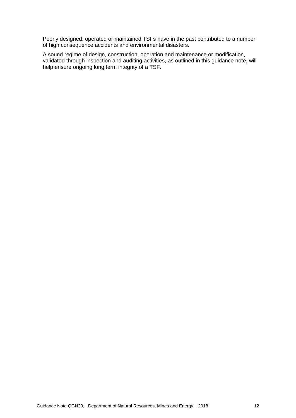Poorly designed, operated or maintained TSFs have in the past contributed to a number of high consequence accidents and environmental disasters.

A sound regime of design, construction, operation and maintenance or modification, validated through inspection and auditing activities, as outlined in this guidance note, will help ensure ongoing long term integrity of a TSF.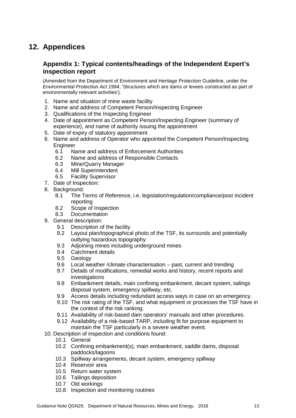# <span id="page-12-0"></span>**12. Appendices**

#### <span id="page-12-1"></span>**Appendix 1: Typical contents/headings of the Independent Expert's inspection report**

(Amended from the Department of Environment and Heritage Protection Guideline, under the *Environmental Protection Act 1994*, 'Structures which are dams or levees constructed as part of environmentally relevant activities')*.*

- 1. Name and situation of mine waste facility
- 2. Name and address of Competent Person/Inspecting Engineer
- 3. Qualifications of the Inspecting Engineer
- 4. Date of appointment as Competent Person/Inspecting Engineer (summary of experience), and name of authority issuing the appointment
- 5. Date of expiry of statutory appointment
- 6. Name and address of Operator who appointed the Competent Person/Inspecting Engineer<br>6.1 Na
	- Name and address of Enforcement Authorities
	- 6.2 Name and address of Responsible Contacts
	- 6.3 Mine/Quarry Manager
	- 6.4 Mill Superintendent
	- 6.5 Facility Supervisor
- 7. Date of Inspection:
- 8. Background:
	- 8.1 The Terms of Reference, i.e. legislation/regulation/compliance/post incident reporting
	- 8.2 Scope of Inspection
	- 8.3 Documentation
- 9. General description:
	- 9.1 Description of the facility
	- 9.2 Layout plan/topographical photo of the TSF, its surrounds and potentially outlying hazardous topography
	- 9.3 Adjoining mines including underground mines
	- 9.4 Catchment details
	- 9.5 Geology
	- 9.6 Local weather /climate characterisation past, current and trending<br>9.7 Details of modifications. remedial works and history, recent reports a
	- Details of modifications, remedial works and history, recent reports and investigations
	- 9.8 Embankment details, main confining embankment, decant system, tailings disposal system, emergency spillway, etc.
	- 9.9 Access details including redundant access ways in case on an emergency.
	- 9.10 The risk rating of the TSF, and what equipment or processes the TSF have in the context of the risk ranking.
	- 9.11 Availability of risk-based dam operators' manuals and other procedures.
	- 9.12 Availability of a risk-based TARP, including fit for purpose equipment to maintain the TSF particularly in a severe weather event.
- 10. Description of inspection and conditions found:
	- 10.1 General
	- 10.2 Confining embankment(s), main embankment, saddle dams, disposal paddocks/lagoons
	- 10.3 Spillway arrangements, decant system, emergency spillway
	- 10.4 Reservoir area
	- 10.5 Return water system
	- 10.6 Tailings deposition
	- 10.7 Old workings
	- 10.8 Inspection and monitoring routines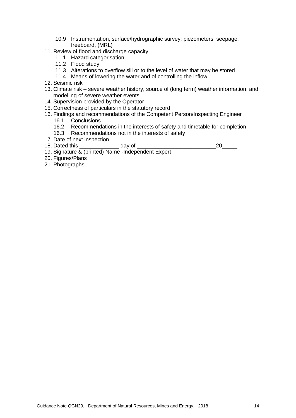- 10.9 Instrumentation, surface/hydrographic survey; piezometers; seepage; freeboard, (MRL)
- 11. Review of flood and discharge capacity
	- 11.1 Hazard categorisation
	- 11.2 Flood study
	- 11.3 Alterations to overflow sill or to the level of water that may be stored
	- 11.4 Means of lowering the water and of controlling the inflow
- 12. Seismic risk
- 13. Climate risk severe weather history, source of (long term) weather information, and modelling of severe weather events
- 14. Supervision provided by the Operator
- 15. Correctness of particulars in the statutory record
- 16. Findings and recommendations of the Competent Person/Inspecting Engineer
	- 16.1 Conclusions
	- 16.2 Recommendations in the interests of safety and timetable for completion
	- 16.3 Recommendations not in the interests of safety
- 17. Date of next inspection<br>18. Dated this
- 18. Dated this \_\_\_\_\_\_\_\_\_\_\_\_\_ day of \_\_\_\_\_\_\_\_\_\_\_\_\_\_\_\_\_\_\_\_\_\_\_\_\_\_20\_\_\_\_\_
- 19. Signature & (printed) Name -Independent Expert
- 20. Figures/Plans
- 21. Photographs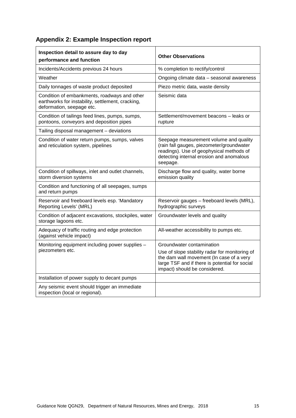# <span id="page-14-0"></span>**Appendix 2: Example Inspection report**

| Inspection detail to assure day to day<br>performance and function                                                             | <b>Other Observations</b>                                                                                                                                                               |
|--------------------------------------------------------------------------------------------------------------------------------|-----------------------------------------------------------------------------------------------------------------------------------------------------------------------------------------|
| Incidents/Accidents previous 24 hours                                                                                          | % completion to rectify/control                                                                                                                                                         |
| Weather                                                                                                                        | Ongoing climate data - seasonal awareness                                                                                                                                               |
| Daily tonnages of waste product deposited                                                                                      | Piezo metric data, waste density                                                                                                                                                        |
| Condition of embankments, roadways and other<br>earthworks for instability, settlement, cracking,<br>deformation, seepage etc. | Seismic data                                                                                                                                                                            |
| Condition of tailings feed lines, pumps, sumps,<br>pontoons, conveyors and deposition pipes                                    | Settlement/movement beacons - leaks or<br>rupture                                                                                                                                       |
| Tailing disposal management - deviations                                                                                       |                                                                                                                                                                                         |
| Condition of water return pumps, sumps, valves<br>and reticulation system, pipelines                                           | Seepage measurement volume and quality<br>(rain fall gauges, piezometer/groundwater<br>readings). Use of geophysical methods of<br>detecting internal erosion and anomalous<br>seepage. |
| Condition of spillways, inlet and outlet channels,<br>storm diversion systems                                                  | Discharge flow and quality, water borne<br>emission quality                                                                                                                             |
| Condition and functioning of all seepages, sumps<br>and return pumps                                                           |                                                                                                                                                                                         |
| Reservoir and freeboard levels esp. 'Mandatory<br>Reporting Levels' (MRL)                                                      | Reservoir gauges - freeboard levels (MRL),<br>hydrographic surveys                                                                                                                      |
| Condition of adjacent excavations, stockpiles, water<br>storage lagoons etc.                                                   | Groundwater levels and quality                                                                                                                                                          |
| Adequacy of traffic routing and edge protection<br>(against vehicle impact)                                                    | All-weather accessibility to pumps etc.                                                                                                                                                 |
| Monitoring equipment including power supplies -                                                                                | Groundwater contamination                                                                                                                                                               |
| piezometers etc.                                                                                                               | Use of slope stability radar for monitoring of<br>the dam wall movement (In case of a very<br>large TSF and if there is potential for social<br>impact) should be considered.           |
| Installation of power supply to decant pumps                                                                                   |                                                                                                                                                                                         |
| Any seismic event should trigger an immediate<br>inspection (local or regional).                                               |                                                                                                                                                                                         |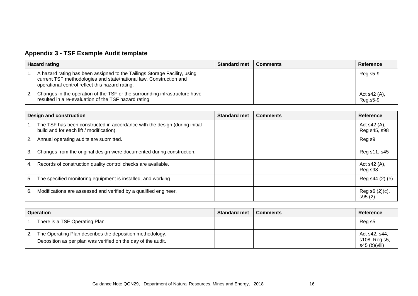# **Appendix 3 - TSF Example Audit template**

| <b>Hazard rating</b> |                                                                                                                                                                                                    | <b>Standard met</b> | <b>Comments</b> | Reference                |
|----------------------|----------------------------------------------------------------------------------------------------------------------------------------------------------------------------------------------------|---------------------|-----------------|--------------------------|
|                      | A hazard rating has been assigned to the Tailings Storage Facility, using<br>current TSF methodologies and state/national law. Construction and<br>operational control reflect this hazard rating. |                     |                 | Reg.s5-9                 |
| 2.                   | Changes in the operation of the TSF or the surrounding infrastructure have<br>resulted in a re-evaluation of the TSF hazard rating.                                                                |                     |                 | Act s42 (A),<br>Reg.s5-9 |

| <b>Design and construction</b> |                                                                                                                        | <b>Standard met</b> | <b>Comments</b> | <b>Reference</b>               |
|--------------------------------|------------------------------------------------------------------------------------------------------------------------|---------------------|-----------------|--------------------------------|
|                                | The TSF has been constructed in accordance with the design (during initial<br>build and for each lift / modification). |                     |                 | Act $s42(A)$ ,<br>Reg s45, s98 |
|                                | Annual operating audits are submitted.                                                                                 |                     |                 | Reg s9                         |
| 3.                             | Changes from the original design were documented during construction.                                                  |                     |                 | Reg s11, s45                   |
| 4.                             | Records of construction quality control checks are available.                                                          |                     |                 | Act s42 (A),<br>Reg s98        |
| 5.                             | The specified monitoring equipment is installed, and working.                                                          |                     |                 | Reg s44 (2) (e)                |
| 6.                             | Modifications are assessed and verified by a qualified engineer.                                                       |                     |                 | Reg s6 (2)(c),<br>s95(2)       |

<span id="page-15-0"></span>

| <b>Operation</b>                                                                                                         | <b>Standard met</b> | <b>Comments</b> | <b>Reference</b>                                |
|--------------------------------------------------------------------------------------------------------------------------|---------------------|-----------------|-------------------------------------------------|
| There is a TSF Operating Plan.                                                                                           |                     |                 | Reg <sub>s5</sub>                               |
| The Operating Plan describes the deposition methodology.<br>Deposition as per plan was verified on the day of the audit. |                     |                 | Act s42, s44,<br>s108. Reg s5,<br>s45 (b)(viii) |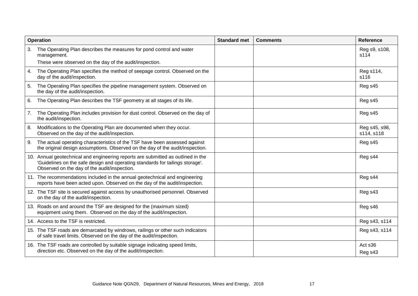|    | <b>Operation</b>                                                                                                                                                                                                  | <b>Standard met</b> | <b>Comments</b> | <b>Reference</b>            |
|----|-------------------------------------------------------------------------------------------------------------------------------------------------------------------------------------------------------------------|---------------------|-----------------|-----------------------------|
| 3. | The Operating Plan describes the measures for pond control and water<br>management.                                                                                                                               |                     |                 | Reg s9, s108,<br>s114       |
|    | These were observed on the day of the audit/inspection.                                                                                                                                                           |                     |                 |                             |
| 4. | The Operating Plan specifies the method of seepage control. Observed on the<br>day of the audit/inspection.                                                                                                       |                     |                 | Reg s114,<br>s116           |
| 5. | The Operating Plan specifies the pipeline management system. Observed on<br>the day of the audit/inspection.                                                                                                      |                     |                 | Reg s45                     |
| 6. | The Operating Plan describes the TSF geometry at all stages of its life.                                                                                                                                          |                     |                 | Reg s45                     |
| 7. | The Operating Plan includes provision for dust control. Observed on the day of<br>the audit/inspection.                                                                                                           |                     |                 | Reg s45                     |
| 8. | Modifications to the Operating Plan are documented when they occur.<br>Observed on the day of the audit/inspection.                                                                                               |                     |                 | Reg s45, s98,<br>s114, s118 |
| 9. | The actual operating characteristics of the TSF have been assessed against<br>the original design assumptions. Observed on the day of the audit/inspection.                                                       |                     |                 | Reg s45                     |
|    | 10. Annual geotechnical and engineering reports are submitted as outlined in the<br>'Guidelines on the safe design and operating standards for tailings storage'.<br>Observed on the day of the audit/inspection. |                     |                 | Reg <sub>s44</sub>          |
|    | 11. The recommendations included in the annual geotechnical and engineering<br>reports have been acted upon. Observed on the day of the audit/inspection.                                                         |                     |                 | Reg <sub>s44</sub>          |
|    | 12. The TSF site is secured against access by unauthorised personnel. Observed<br>on the day of the audit/inspection.                                                                                             |                     |                 | Reg s43                     |
|    | 13. Roads on and around the TSF are designed for the (maximum sized)<br>equipment using them. Observed on the day of the audit/inspection.                                                                        |                     |                 | Reg s46                     |
|    | 14. Access to the TSF is restricted.                                                                                                                                                                              |                     |                 | Reg s43, s114               |
|    | 15. The TSF roads are demarcated by windrows, railings or other such indicators<br>of safe travel limits. Observed on the day of the audit/inspection.                                                            |                     |                 | Reg s43, s114               |
|    | 16. The TSF roads are controlled by suitable signage indicating speed limits,<br>direction etc. Observed on the day of the audit/inspection.                                                                      |                     |                 | Act s36<br>Reg s43          |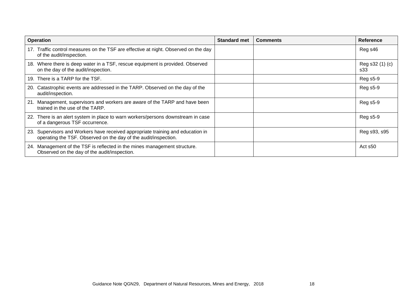| <b>Operation</b>                                                                                                                                   | <b>Standard met</b> | <b>Comments</b> | <b>Reference</b>       |
|----------------------------------------------------------------------------------------------------------------------------------------------------|---------------------|-----------------|------------------------|
| 17. Traffic control measures on the TSF are effective at night. Observed on the day<br>of the audit/inspection.                                    |                     |                 | Reg s46                |
| 18. Where there is deep water in a TSF, rescue equipment is provided. Observed<br>on the day of the audit/inspection.                              |                     |                 | Reg s32 (1) (c)<br>s33 |
| 19. There is a TARP for the TSF.                                                                                                                   |                     |                 | <b>Reg s5-9</b>        |
| 20. Catastrophic events are addressed in the TARP. Observed on the day of the<br>audit/inspection.                                                 |                     |                 | <b>Reg s5-9</b>        |
| 21. Management, supervisors and workers are aware of the TARP and have been<br>trained in the use of the TARP.                                     |                     |                 | Reg s5-9               |
| 22. There is an alert system in place to warn workers/persons downstream in case<br>of a dangerous TSF occurrence.                                 |                     |                 | Reg s5-9               |
| 23. Supervisors and Workers have received appropriate training and education in<br>operating the TSF. Observed on the day of the audit/inspection. |                     |                 | Reg s93, s95           |
| 24. Management of the TSF is reflected in the mines management structure.<br>Observed on the day of the audit/inspection.                          |                     |                 | Act s50                |